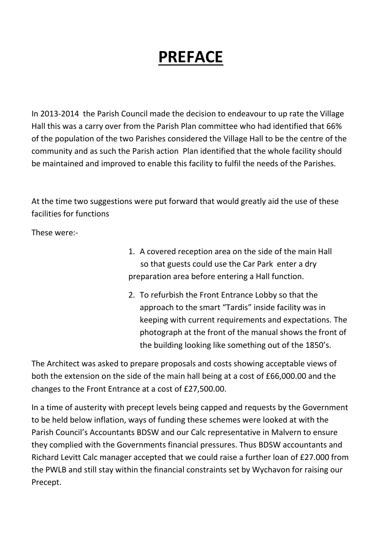## PREFACE

In 2013-2014 the Parish Council made the decision to endeavour to up rate the Village Hall this was a carry over from the Parish Plan committee who had identified that 66% of the population of the two Parishes considered the Village Hall to be the centre of the community and as such the Parish action Plan identified that the whole facility should be maintained and improved to enable this facility to fulfil the needs of the Parishes.

At the time two suggestions were put forward that would greatly aid the use of these facilities for functions

These were:-

- 1. A covered reception area on the side of the main Hall so that guests could use the Car Park enter a dry preparation area before entering a Hall function.
- 2. To refurbish the Front Entrance Lobby so that the approach to the smart "Tardis" inside facility was in keeping with current requirements and expectations. The photograph at the front of the manual shows the front of the building looking like something out of the 1850's.

The Architect was asked to prepare proposals and costs showing acceptable views of both the extension on the side of the main hall being at a cost of £66,000.00 and the changes to the Front Entrance at a cost of £27,500.00.

In a time of austerity with precept levels being capped and requests by the Government to be held below inflation, ways of funding these schemes were looked at with the Parish Council's Accountants BDSW and our Calc representative in Malvern to ensure they complied with the Governments financial pressures. Thus BDSW accountants and Richard Levitt Calc manager accepted that we could raise a further loan of £27.000 from the PWLB and still stay within the financial constraints set by Wychavon for raising our Precept.